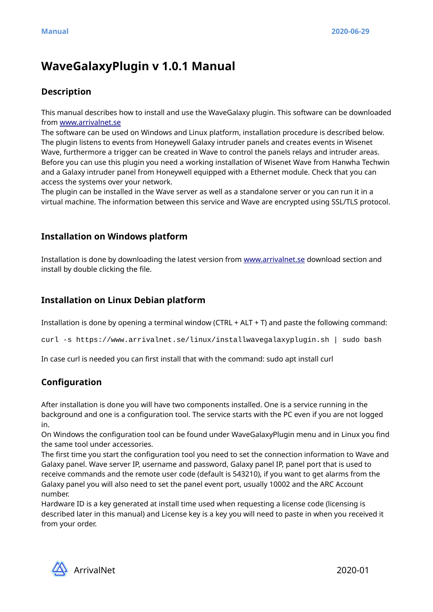# **WaveGalaxyPlugin v 1.0.1 Manual**

# **Description**

This manual describes how to install and use the WaveGalaxy plugin. This software can be downloaded from [www.arrivalnet.se](http://www.arrivalnet.se/)

The software can be used on Windows and Linux platform, installation procedure is described below. The plugin listens to events from Honeywell Galaxy intruder panels and creates events in Wisenet Wave, furthermore a trigger can be created in Wave to control the panels relays and intruder areas. Before you can use this plugin you need a working installation of Wisenet Wave from Hanwha Techwin and a Galaxy intruder panel from Honeywell equipped with a Ethernet module. Check that you can access the systems over your network.

The plugin can be installed in the Wave server as well as a standalone server or you can run it in a virtual machine. The information between this service and Wave are encrypted using SSL/TLS protocol.

### **Installation on Windows platform**

Installation is done by downloading the latest version from [www.arrivalnet.se](http://www.arrivalnet.se/) download section and install by double clicking the file.

### **Installation on Linux Debian platform**

Installation is done by opening a terminal window (CTRL + ALT + T) and paste the following command:

curl -s https://www.arrivalnet.se/linux/installwavegalaxyplugin.sh | sudo bash

In case curl is needed you can first install that with the command: sudo apt install curl

# **Configuration**

After installation is done you will have two components installed. One is a service running in the background and one is a configuration tool. The service starts with the PC even if you are not logged in.

On Windows the configuration tool can be found under WaveGalaxyPlugin menu and in Linux you find the same tool under accessories.

The first time you start the configuration tool you need to set the connection information to Wave and Galaxy panel. Wave server IP, username and password, Galaxy panel IP, panel port that is used to receive commands and the remote user code (default is 543210), if you want to get alarms from the Galaxy panel you will also need to set the panel event port, usually 10002 and the ARC Account number.

Hardware ID is a key generated at install time used when requesting a license code (licensing is described later in this manual) and License key is a key you will need to paste in when you received it from your order.

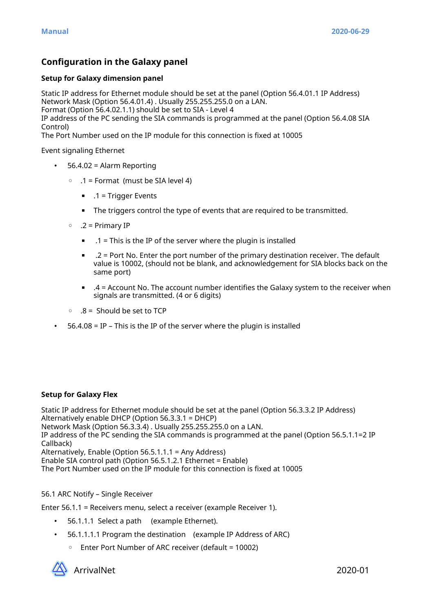# **Configuration in the Galaxy panel**

#### **Setup for Galaxy dimension panel**

Static IP address for Ethernet module should be set at the panel (Option 56.4.01.1 IP Address) Network Mask (Option 56.4.01.4) . Usually 255.255.255.0 on a LAN. Format (Option 56.4.02.1.1) should be set to SIA - Level 4

IP address of the PC sending the SIA commands is programmed at the panel (Option 56.4.08 SIA

Control)

The Port Number used on the IP module for this connection is fixed at 10005

Event signaling Ethernet

- 56.4.02 = Alarm Reporting
	- .1 = Format (must be SIA level 4)
		- $\blacksquare$  .1 = Trigger Events
		- The triggers control the type of events that are required to be transmitted.
	- .2 = Primary IP
		- $\blacksquare$  .1 = This is the IP of the server where the plugin is installed
		- $\blacksquare$  .2 = Port No. Enter the port number of the primary destination receiver. The default value is 10002, (should not be blank, and acknowledgement for SIA blocks back on the same port)
		- $\blacksquare$  .4 = Account No. The account number identifies the Galaxy system to the receiver when signals are transmitted. (4 or 6 digits)
	- .8 = Should be set to TCP
- 56.4.08 = IP This is the IP of the server where the plugin is installed

#### **Setup for Galaxy Flex**

Static IP address for Ethernet module should be set at the panel (Option 56.3.3.2 IP Address) Alternatively enable DHCP (Option 56.3.3.1 = DHCP) Network Mask (Option 56.3.3.4) . Usually 255.255.255.0 on a LAN. IP address of the PC sending the SIA commands is programmed at the panel (Option 56.5.1.1=2 IP Callback) Alternatively, Enable (Option 56.5.1.1.1 = Any Address) Enable SIA control path (Option 56.5.1.2.1 Ethernet = Enable) The Port Number used on the IP module for this connection is fixed at 10005

#### 56.1 ARC Notify – Single Receiver

Enter 56.1.1 = Receivers menu, select a receiver (example Receiver 1).

- 56.1.1.1 Select a path (example Ethernet).
- 56.1.1.1.1 Program the destination (example IP Address of ARC)
	- Enter Port Number of ARC receiver (default = 10002)

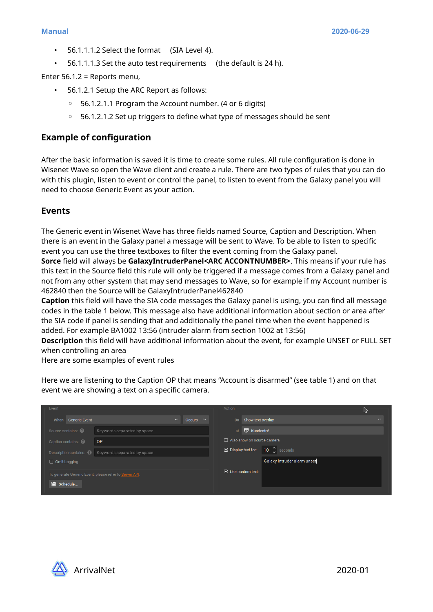- 56.1.1.1.2 Select the format (SIA Level 4).
- 56.1.1.1.3 Set the auto test requirements (the default is 24 h).

Enter 56.1.2 = Reports menu,

- 56.1.2.1 Setup the ARC Report as follows:
	- 56.1.2.1.1 Program the Account number. (4 or 6 digits)
	- 56.1.2.1.2 Set up triggers to define what type of messages should be sent

#### **Example of configuration**

After the basic information is saved it is time to create some rules. All rule configuration is done in Wisenet Wave so open the Wave client and create a rule. There are two types of rules that you can do with this plugin, listen to event or control the panel, to listen to event from the Galaxy panel you will need to choose Generic Event as your action.

#### **Events**

The Generic event in Wisenet Wave has three fields named Source, Caption and Description. When there is an event in the Galaxy panel a message will be sent to Wave. To be able to listen to specific event you can use the three textboxes to filter the event coming from the Galaxy panel.

**Sorce** field will always be **GalaxyIntruderPanel<ARC ACCONTNUMBER>**. This means if your rule has this text in the Source field this rule will only be triggered if a message comes from a Galaxy panel and not from any other system that may send messages to Wave, so for example if my Account number is 462840 then the Source will be GalaxyIntruderPanel462840

**Caption** this field will have the SIA code messages the Galaxy panel is using, you can find all message codes in the table 1 below. This message also have additional information about section or area after the SIA code if panel is sending that and additionally the panel time when the event happened is added. For example BA1002 13:56 (intruder alarm from section 1002 at 13:56)

**Description** this field will have additional information about the event, for example UNSET or FULL SET when controlling an area

Here are some examples of event rules

Here we are listening to the Caption OP that means "Account is disarmed" (see table 1) and on that event we are showing a text on a specific camera.

| Event                                                  |                               | Action                           |              |
|--------------------------------------------------------|-------------------------------|----------------------------------|--------------|
| When Generic Event                                     | $\checkmark$<br>Occurs $\vee$ | Do Show text overlay             | $\checkmark$ |
| Source contains: 3<br>Keywords separated by space      |                               | at <b>v</b> Kundentré            |              |
| Caption contains:<br><b>OP</b>                         |                               | Also show on source camera       |              |
| Description contains: @   Keywords separated by space  |                               | ■ Display text for: 10 ↓ seconds |              |
| $\Box$ Omit Logging                                    |                               | Galaxy Intruder alarm unset      |              |
| To generate Generic Event, please refer to Server API. |                               | $\boxdot$ Use custom text:       |              |
| <b>fin</b> Schedule                                    |                               |                                  |              |
|                                                        |                               |                                  |              |

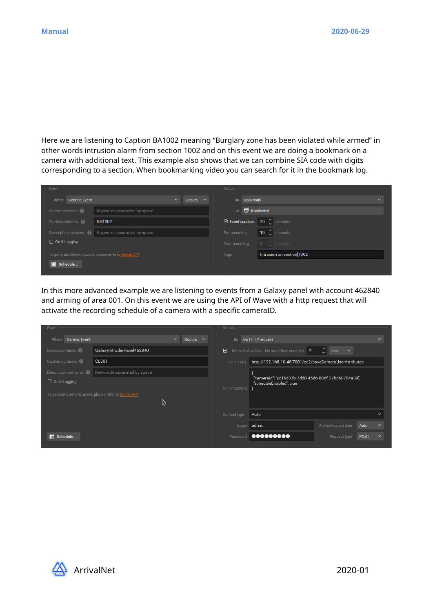Here we are listening to Caption BA1002 meaning "Burglary zone has been violated while armed" in other words intrusion alarm from section 1002 and on this event we are doing a bookmark on a camera with additional text. This example also shows that we can combine SIA code with digits corresponding to a section. When bookmarking video you can search for it in the bookmark log.

| Event                                                  |                               | Action                                                                                                             |              |
|--------------------------------------------------------|-------------------------------|--------------------------------------------------------------------------------------------------------------------|--------------|
| When Generic Event                                     | Occurs $\vee$<br>$\checkmark$ | Do Bookmark                                                                                                        | $\checkmark$ |
| Source contains:<br>Keywords separated by space        |                               | at <b>v</b> Kundentré                                                                                              |              |
| Caption contains:<br><b>BA1002</b>                     |                               | ■ Fixed duration: 20 ( seconds                                                                                     |              |
| Description contains: @   Keywords separated by space  |                               | $\begin{array}{ccc} \textbf{-10} & \textbf{\color{red}{\bullet}} & \textbf{seconds} \end{array}$<br>Pre-recording: |              |
| $\Box$ Omit Logging                                    |                               | Post-recording:                                                                                                    |              |
| To generate Generic Event, please refer to Server API. |                               | Intrusion on section 1002<br>Tags:                                                                                 |              |
| schedule                                               |                               |                                                                                                                    |              |
|                                                        |                               |                                                                                                                    |              |

In this more advanced example we are listening to events from a Galaxy panel with account 462840 and arming of area 001. On this event we are using the API of Wave with a http request that will activate the recording schedule of a camera with a specific cameraID.

| Event                        |                                                        | Action                                                                                         |              |
|------------------------------|--------------------------------------------------------|------------------------------------------------------------------------------------------------|--------------|
| <b>Generic Event</b><br>When | $\checkmark$<br>Occurs $\vee$                          | Do HTTP request<br>Do                                                                          | $\checkmark$ |
| Source contains:             | GalaxyIntruderPanel462840                              | $ \mathbb{C} $<br>Interval of action: No more than once per 2<br>⊠<br>$\ddotmark$<br>sec       |              |
| Caption contains:            | CL001                                                  | http://192.168.10.46:7001/ec2/saveCameraUserAttributes<br><b>HTTP URL</b>                      |              |
|                              | Description contains: 2   Keywords separated by space  |                                                                                                |              |
| $\Box$ Omit Logging          |                                                        | "camerald": "cc1bd33b-7dd8-45d6-886f-37bd60784a39",<br>"scheduleEnabled": true<br>HTTP content |              |
|                              | To generate Generic Event, please refer to Server API. |                                                                                                |              |
|                              |                                                        |                                                                                                |              |
|                              |                                                        | Auto<br>Content type                                                                           | $\checkmark$ |
|                              |                                                        | Login admin<br>Authentication type<br>Auto                                                     | $\ddotmark$  |
| till Schedule                |                                                        | Password <b>@@@@@@@@@@</b><br>Request type<br>POST                                             | $\checkmark$ |

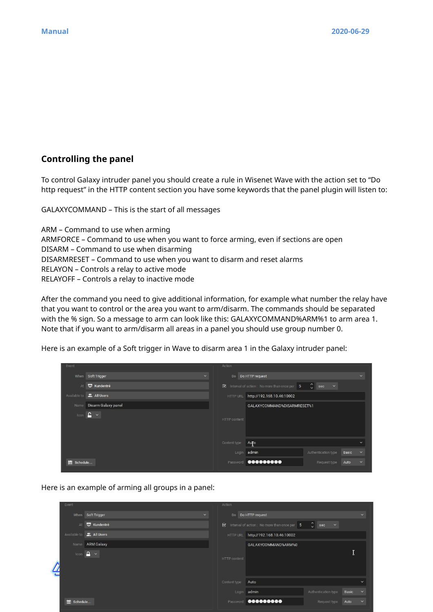# **Controlling the panel**

To control Galaxy intruder panel you should create a rule in Wisenet Wave with the action set to "Do http request" in the HTTP content section you have some keywords that the panel plugin will listen to:

GALAXYCOMMAND – This is the start of all messages

ARM – Command to use when arming ARMFORCE – Command to use when you want to force arming, even if sections are open DISARM – Command to use when disarming DISARMRESET – Command to use when you want to disarm and reset alarms RELAYON – Controls a relay to active mode RELAYOFF – Controls a relay to inactive mode

After the command you need to give additional information, for example what number the relay have that you want to control or the area you want to arm/disarm. The commands should be separated with the % sign. So a message to arm can look like this: GALAXYCOMMAND%ARM%1 to arm area 1. Note that if you want to arm/disarm all areas in a panel you should use group number 0.

Here is an example of a Soft trigger in Wave to disarm area 1 in the Galaxy intruder panel:



Here is an example of arming all groups in a panel:

| Event      |                                   |              | Action       |                                              |                                                |       |              |
|------------|-----------------------------------|--------------|--------------|----------------------------------------------|------------------------------------------------|-------|--------------|
|            | When Soft Trigger                 | $\checkmark$ |              | Do   Do HTTP request                         |                                                |       | $\checkmark$ |
| At         | <b>W</b> Kundentré                |              | $\boxtimes$  | Interval of action : No more than once per 5 | $\hat{\mathcal{L}}$ sec<br>$\ddot{\mathbf{v}}$ |       |              |
|            | Available to <b>2</b> , All Users |              | HTTP URL     | http://192.168.10.46:10002                   |                                                |       |              |
|            | Name ARM Galaxy                   |              |              | GALAXYCOMMAND%ARM%0                          |                                                |       |              |
| Icon       | $\mathbf{A}$ $\sim$               |              | HTTP content |                                              |                                                | ш.    |              |
|            |                                   |              | Content type | Auto                                         |                                                |       | $\checkmark$ |
|            |                                   |              |              | Login admin                                  | Authentication type                            | Basic | $\checkmark$ |
| m Schedule |                                   |              |              | Password <b>@@@@@@@@@@</b>                   | Request type                                   | Auto  | $\checkmark$ |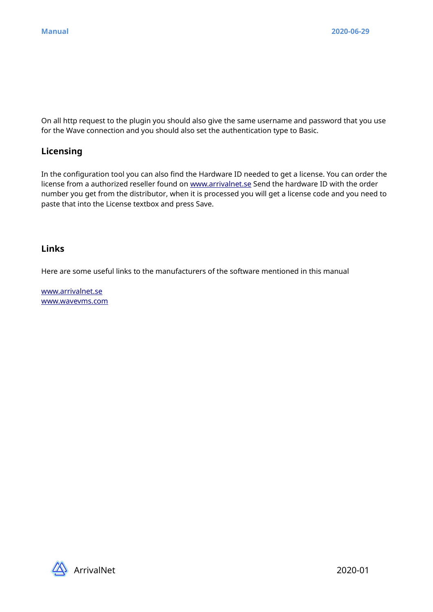On all http request to the plugin you should also give the same username and password that you use for the Wave connection and you should also set the authentication type to Basic.

### **Licensing**

In the configuration tool you can also find the Hardware ID needed to get a license. You can order the license from a authorized reseller found on [www.arrivalnet.se](http://www.arrivalnet.se/) Send the hardware ID with the order number you get from the distributor, when it is processed you will get a license code and you need to paste that into the License textbox and press Save.

### **Links**

Here are some useful links to the manufacturers of the software mentioned in this manual

[www.arrivalnet.se](http://www.arrivalnet.se/) [www.wavevms.com](http://www.wavevms.com/)

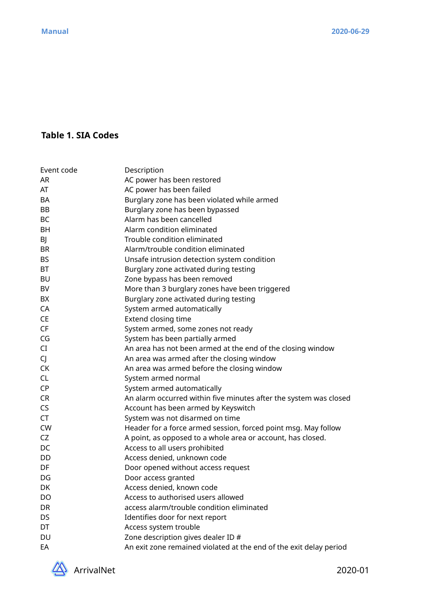# **Table 1. SIA Codes**

| Event code | Description                                                        |
|------------|--------------------------------------------------------------------|
| AR         | AC power has been restored                                         |
| AT         | AC power has been failed                                           |
| <b>BA</b>  | Burglary zone has been violated while armed                        |
| BB         | Burglary zone has been bypassed                                    |
| BC         | Alarm has been cancelled                                           |
| <b>BH</b>  | Alarm condition eliminated                                         |
| BJ         | Trouble condition eliminated                                       |
| <b>BR</b>  | Alarm/trouble condition eliminated                                 |
| <b>BS</b>  | Unsafe intrusion detection system condition                        |
| <b>BT</b>  | Burglary zone activated during testing                             |
| BU         | Zone bypass has been removed                                       |
| BV         | More than 3 burglary zones have been triggered                     |
| BX         | Burglary zone activated during testing                             |
| CA         | System armed automatically                                         |
| CE         | Extend closing time                                                |
| CF         | System armed, some zones not ready                                 |
| CG         | System has been partially armed                                    |
| CI         | An area has not been armed at the end of the closing window        |
| CJ         | An area was armed after the closing window                         |
| CK         | An area was armed before the closing window                        |
| <b>CL</b>  | System armed normal                                                |
| <b>CP</b>  | System armed automatically                                         |
| <b>CR</b>  | An alarm occurred within five minutes after the system was closed  |
| CS         | Account has been armed by Keyswitch                                |
| CT         | System was not disarmed on time                                    |
| <b>CW</b>  | Header for a force armed session, forced point msg. May follow     |
| CZ         | A point, as opposed to a whole area or account, has closed.        |
| DC         | Access to all users prohibited                                     |
| DD         | Access denied, unknown code                                        |
| DF         | Door opened without access request                                 |
| DG         | Door access granted                                                |
| DK         | Access denied, known code                                          |
| DO         | Access to authorised users allowed                                 |
| DR         | access alarm/trouble condition eliminated                          |
| DS         | Identifies door for next report                                    |
| DT         | Access system trouble                                              |
| DU         | Zone description gives dealer ID #                                 |
| EA         | An exit zone remained violated at the end of the exit delay period |

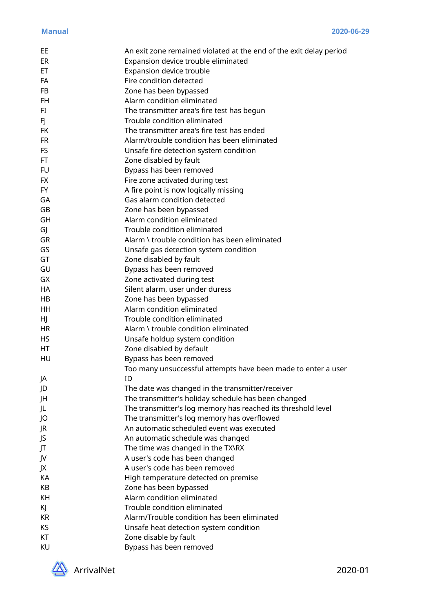| EE        | An exit zone remained violated at the end of the exit delay period |
|-----------|--------------------------------------------------------------------|
| ER        | Expansion device trouble eliminated                                |
| <b>ET</b> | Expansion device trouble                                           |
| FA        | Fire condition detected                                            |
| <b>FB</b> | Zone has been bypassed                                             |
| <b>FH</b> | Alarm condition eliminated                                         |
| FI        | The transmitter area's fire test has begun                         |
| FJ        | Trouble condition eliminated                                       |
| <b>FK</b> | The transmitter area's fire test has ended                         |
| <b>FR</b> | Alarm/trouble condition has been eliminated                        |
| <b>FS</b> | Unsafe fire detection system condition                             |
| FT.       | Zone disabled by fault                                             |
| <b>FU</b> | Bypass has been removed                                            |
| FX.       | Fire zone activated during test                                    |
| <b>FY</b> | A fire point is now logically missing                              |
| GA        | Gas alarm condition detected                                       |
| GB        | Zone has been bypassed                                             |
|           | Alarm condition eliminated                                         |
| GH        | Trouble condition eliminated                                       |
| GJ        | Alarm \ trouble condition has been eliminated                      |
| GR        |                                                                    |
| GS        | Unsafe gas detection system condition                              |
| GT        | Zone disabled by fault                                             |
| GU        | Bypass has been removed                                            |
| GX        | Zone activated during test                                         |
| HA        | Silent alarm, user under duress                                    |
| HB        | Zone has been bypassed                                             |
| HH        | Alarm condition eliminated                                         |
| HJ.       | Trouble condition eliminated                                       |
| HR        | Alarm \ trouble condition eliminated                               |
| <b>HS</b> | Unsafe holdup system condition                                     |
| HT        | Zone disabled by default                                           |
| HU        | Bypass has been removed                                            |
|           | Too many unsuccessful attempts have been made to enter a user      |
| JA        | ID                                                                 |
| JD        | The date was changed in the transmitter/receiver                   |
| JH        | The transmitter's holiday schedule has been changed                |
| JL        | The transmitter's log memory has reached its threshold level       |
| JO        | The transmitter's log memory has overflowed                        |
| JR        | An automatic scheduled event was executed                          |
| JS        | An automatic schedule was changed                                  |
| JT        | The time was changed in the TX\RX                                  |
| JV        | A user's code has been changed                                     |
| JX        | A user's code has been removed                                     |
| KA        | High temperature detected on premise                               |
| KB        | Zone has been bypassed                                             |
| KH        | Alarm condition eliminated                                         |
| KJ        | Trouble condition eliminated                                       |
| <b>KR</b> | Alarm/Trouble condition has been eliminated                        |
| KS        | Unsafe heat detection system condition                             |
| KT        | Zone disable by fault                                              |
| KU        | Bypass has been removed                                            |
|           |                                                                    |

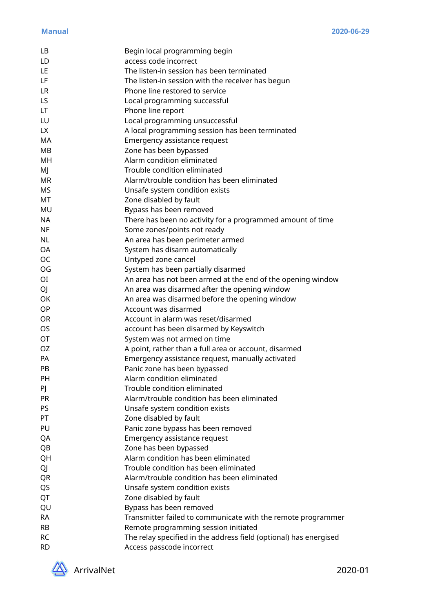| LB             | Begin local programming begin                                     |
|----------------|-------------------------------------------------------------------|
| LD             | access code incorrect                                             |
| LE             | The listen-in session has been terminated                         |
| LF             | The listen-in session with the receiver has begun                 |
| LR             | Phone line restored to service                                    |
| LS.            | Local programming successful                                      |
| LT.            | Phone line report                                                 |
| LU             | Local programming unsuccessful                                    |
| LX.            | A local programming session has been terminated                   |
| MA             | Emergency assistance request                                      |
| MB             | Zone has been bypassed                                            |
| MH             | Alarm condition eliminated                                        |
| MJ             | Trouble condition eliminated                                      |
| <b>MR</b>      | Alarm/trouble condition has been eliminated                       |
| <b>MS</b>      | Unsafe system condition exists                                    |
| <b>MT</b>      | Zone disabled by fault                                            |
| MU             | Bypass has been removed                                           |
| <b>NA</b>      | There has been no activity for a programmed amount of time        |
| <b>NF</b>      | Some zones/points not ready                                       |
| <b>NL</b>      | An area has been perimeter armed                                  |
| <b>OA</b>      | System has disarm automatically                                   |
| <b>OC</b>      | Untyped zone cancel                                               |
| OG             | System has been partially disarmed                                |
| O <sub>I</sub> | An area has not been armed at the end of the opening window       |
| OJ             | An area was disarmed after the opening window                     |
| <b>OK</b>      | An area was disarmed before the opening window                    |
| OP             | Account was disarmed                                              |
| <b>OR</b>      | Account in alarm was reset/disarmed                               |
| <b>OS</b>      | account has been disarmed by Keyswitch                            |
| <b>OT</b>      | System was not armed on time                                      |
| <b>OZ</b>      | A point, rather than a full area or account, disarmed             |
| PA             | Emergency assistance request, manually activated                  |
| PB             | Panic zone has been bypassed                                      |
| PH             | Alarm condition eliminated                                        |
| PJ             | Trouble condition eliminated                                      |
| PR             | Alarm/trouble condition has been eliminated                       |
| <b>PS</b>      | Unsafe system condition exists                                    |
| PT             | Zone disabled by fault                                            |
| PU             | Panic zone bypass has been removed                                |
| QA             | Emergency assistance request                                      |
| QB             | Zone has been bypassed                                            |
| QH             | Alarm condition has been eliminated                               |
| QJ             | Trouble condition has been eliminated                             |
| QR             | Alarm/trouble condition has been eliminated                       |
| QS             | Unsafe system condition exists                                    |
| QT             | Zone disabled by fault                                            |
| QU             | Bypass has been removed                                           |
| <b>RA</b>      | Transmitter failed to communicate with the remote programmer      |
| <b>RB</b>      | Remote programming session initiated                              |
| <b>RC</b>      | The relay specified in the address field (optional) has energised |
| <b>RD</b>      | Access passcode incorrect                                         |
|                |                                                                   |

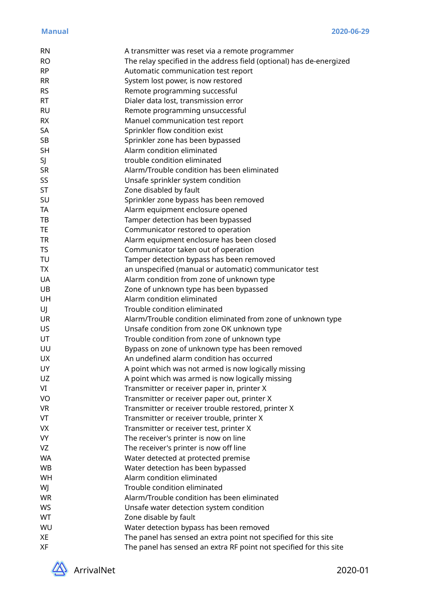| <b>RN</b> | A transmitter was reset via a remote programmer                      |
|-----------|----------------------------------------------------------------------|
| <b>RO</b> | The relay specified in the address field (optional) has de-energized |
| <b>RP</b> | Automatic communication test report                                  |
| <b>RR</b> | System lost power, is now restored                                   |
| <b>RS</b> | Remote programming successful                                        |
| <b>RT</b> | Dialer data lost, transmission error                                 |
| <b>RU</b> | Remote programming unsuccessful                                      |
| <b>RX</b> | Manuel communication test report                                     |
| <b>SA</b> | Sprinkler flow condition exist                                       |
| <b>SB</b> | Sprinkler zone has been bypassed                                     |
| <b>SH</b> | Alarm condition eliminated                                           |
| SJ        | trouble condition eliminated                                         |
| <b>SR</b> | Alarm/Trouble condition has been eliminated                          |
| SS        | Unsafe sprinkler system condition                                    |
| ST        | Zone disabled by fault                                               |
| SU        | Sprinkler zone bypass has been removed                               |
| <b>TA</b> | Alarm equipment enclosure opened                                     |
| TB        | Tamper detection has been bypassed                                   |
| <b>TE</b> | Communicator restored to operation                                   |
| <b>TR</b> | Alarm equipment enclosure has been closed                            |
| <b>TS</b> | Communicator taken out of operation                                  |
| TU        | Tamper detection bypass has been removed                             |
| <b>TX</b> | an unspecified (manual or automatic) communicator test               |
| <b>UA</b> | Alarm condition from zone of unknown type                            |
| UB        | Zone of unknown type has been bypassed                               |
| UH        | Alarm condition eliminated                                           |
| UJ        | Trouble condition eliminated                                         |
| <b>UR</b> | Alarm/Trouble condition eliminated from zone of unknown type         |
| <b>US</b> | Unsafe condition from zone OK unknown type                           |
| UT        | Trouble condition from zone of unknown type                          |
| UU        | Bypass on zone of unknown type has been removed                      |
| <b>UX</b> | An undefined alarm condition has occurred                            |
| UY        | A point which was not armed is now logically missing                 |
| UZ        | A point which was armed is now logically missing                     |
| VI        | Transmitter or receiver paper in, printer X                          |
| VO        | Transmitter or receiver paper out, printer X                         |
| <b>VR</b> | Transmitter or receiver trouble restored, printer X                  |
| VT        | Transmitter or receiver trouble, printer X                           |
| <b>VX</b> | Transmitter or receiver test, printer X                              |
| <b>VY</b> | The receiver's printer is now on line                                |
| VZ        | The receiver's printer is now off line                               |
| <b>WA</b> | Water detected at protected premise                                  |
| WB        | Water detection has been bypassed                                    |
| WH        | Alarm condition eliminated                                           |
| WJ        | Trouble condition eliminated                                         |
| <b>WR</b> | Alarm/Trouble condition has been eliminated                          |
| WS        | Unsafe water detection system condition                              |
| WT        | Zone disable by fault                                                |
| WU        | Water detection bypass has been removed                              |
| XE        | The panel has sensed an extra point not specified for this site      |
| XF        | The panel has sensed an extra RF point not specified for this site   |